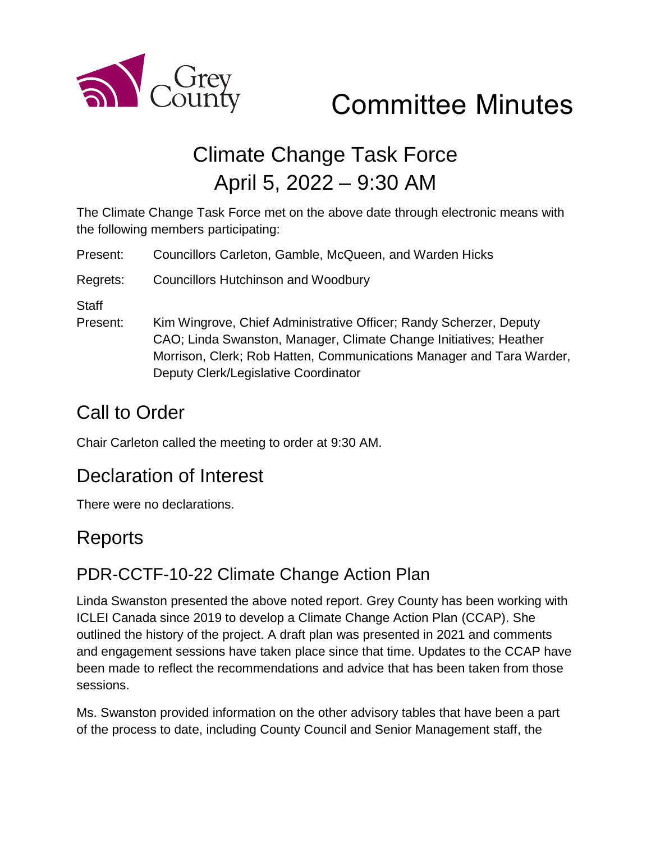

# Committee Minutes

## Climate Change Task Force April 5, 2022 – 9:30 AM

The Climate Change Task Force met on the above date through electronic means with the following members participating:

Present: Councillors Carleton, Gamble, McQueen, and Warden Hicks

Regrets: Councillors Hutchinson and Woodbury

**Staff** 

Present: Kim Wingrove, Chief Administrative Officer; Randy Scherzer, Deputy CAO; Linda Swanston, Manager, Climate Change Initiatives; Heather Morrison, Clerk; Rob Hatten, Communications Manager and Tara Warder, Deputy Clerk/Legislative Coordinator

### Call to Order

Chair Carleton called the meeting to order at 9:30 AM.

### Declaration of Interest

There were no declarations.

### Reports

### PDR-CCTF-10-22 Climate Change Action Plan

Linda Swanston presented the above noted report. Grey County has been working with ICLEI Canada since 2019 to develop a Climate Change Action Plan (CCAP). She outlined the history of the project. A draft plan was presented in 2021 and comments and engagement sessions have taken place since that time. Updates to the CCAP have been made to reflect the recommendations and advice that has been taken from those sessions.

Ms. Swanston provided information on the other advisory tables that have been a part of the process to date, including County Council and Senior Management staff, the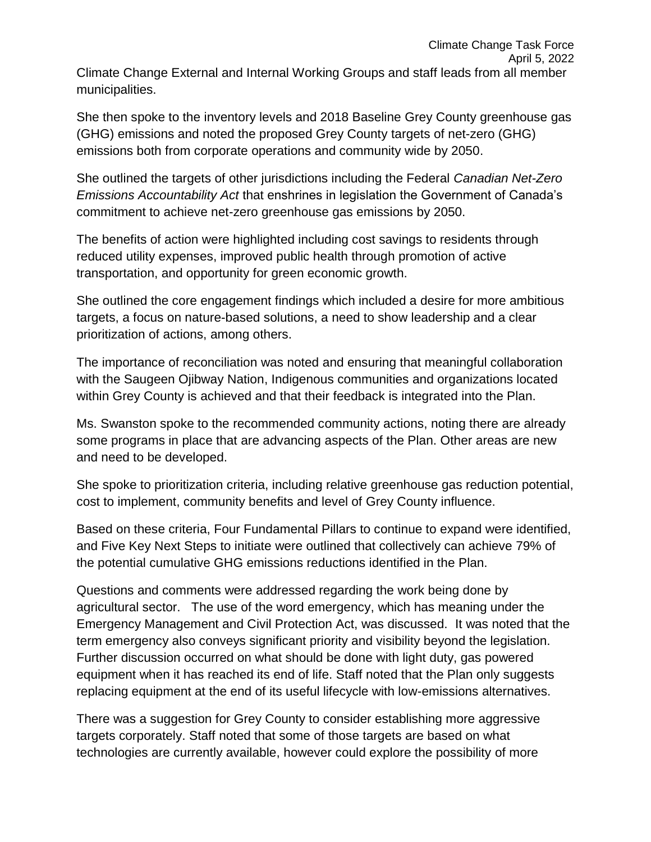She then spoke to the inventory levels and 2018 Baseline Grey County greenhouse gas (GHG) emissions and noted the proposed Grey County targets of net-zero (GHG) emissions both from corporate operations and community wide by 2050.

She outlined the targets of other jurisdictions including the Federal *Canadian Net-Zero Emissions Accountability Act* that enshrines in legislation the Government of Canada's commitment to achieve net-zero greenhouse gas emissions by 2050.

The benefits of action were highlighted including cost savings to residents through reduced utility expenses, improved public health through promotion of active transportation, and opportunity for green economic growth.

She outlined the core engagement findings which included a desire for more ambitious targets, a focus on nature-based solutions, a need to show leadership and a clear prioritization of actions, among others.

The importance of reconciliation was noted and ensuring that meaningful collaboration with the Saugeen Ojibway Nation, Indigenous communities and organizations located within Grey County is achieved and that their feedback is integrated into the Plan.

Ms. Swanston spoke to the recommended community actions, noting there are already some programs in place that are advancing aspects of the Plan. Other areas are new and need to be developed.

She spoke to prioritization criteria, including relative greenhouse gas reduction potential, cost to implement, community benefits and level of Grey County influence.

Based on these criteria, Four Fundamental Pillars to continue to expand were identified, and Five Key Next Steps to initiate were outlined that collectively can achieve 79% of the potential cumulative GHG emissions reductions identified in the Plan.

Questions and comments were addressed regarding the work being done by agricultural sector. The use of the word emergency, which has meaning under the Emergency Management and Civil Protection Act, was discussed. It was noted that the term emergency also conveys significant priority and visibility beyond the legislation. Further discussion occurred on what should be done with light duty, gas powered equipment when it has reached its end of life. Staff noted that the Plan only suggests replacing equipment at the end of its useful lifecycle with low-emissions alternatives.

There was a suggestion for Grey County to consider establishing more aggressive targets corporately. Staff noted that some of those targets are based on what technologies are currently available, however could explore the possibility of more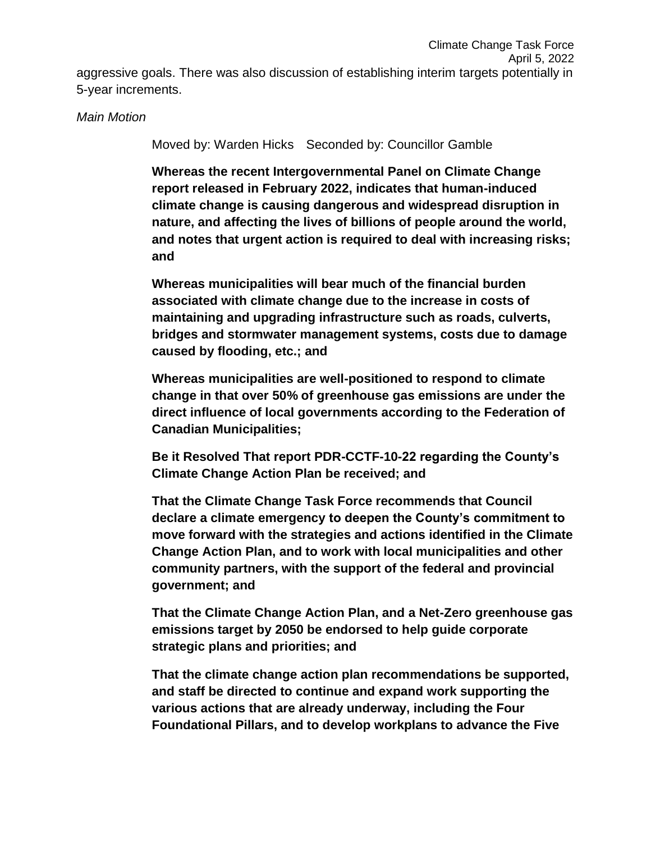#### *Main Motion*

Moved by: Warden Hicks Seconded by: Councillor Gamble

**Whereas the recent Intergovernmental Panel on Climate Change report released in February 2022, indicates that human-induced climate change is causing dangerous and widespread disruption in nature, and affecting the lives of billions of people around the world, and notes that urgent action is required to deal with increasing risks; and**

**Whereas municipalities will bear much of the financial burden associated with climate change due to the increase in costs of maintaining and upgrading infrastructure such as roads, culverts, bridges and stormwater management systems, costs due to damage caused by flooding, etc.; and**

**Whereas municipalities are well-positioned to respond to climate change in that over 50% of greenhouse gas emissions are under the direct influence of local governments according to the Federation of Canadian Municipalities;** 

**Be it Resolved That report PDR-CCTF-10-22 regarding the County's Climate Change Action Plan be received; and**

**That the Climate Change Task Force recommends that Council declare a climate emergency to deepen the County's commitment to move forward with the strategies and actions identified in the Climate Change Action Plan, and to work with local municipalities and other community partners, with the support of the federal and provincial government; and** 

**That the Climate Change Action Plan, and a Net-Zero greenhouse gas emissions target by 2050 be endorsed to help guide corporate strategic plans and priorities; and** 

**That the climate change action plan recommendations be supported, and staff be directed to continue and expand work supporting the various actions that are already underway, including the Four Foundational Pillars, and to develop workplans to advance the Five**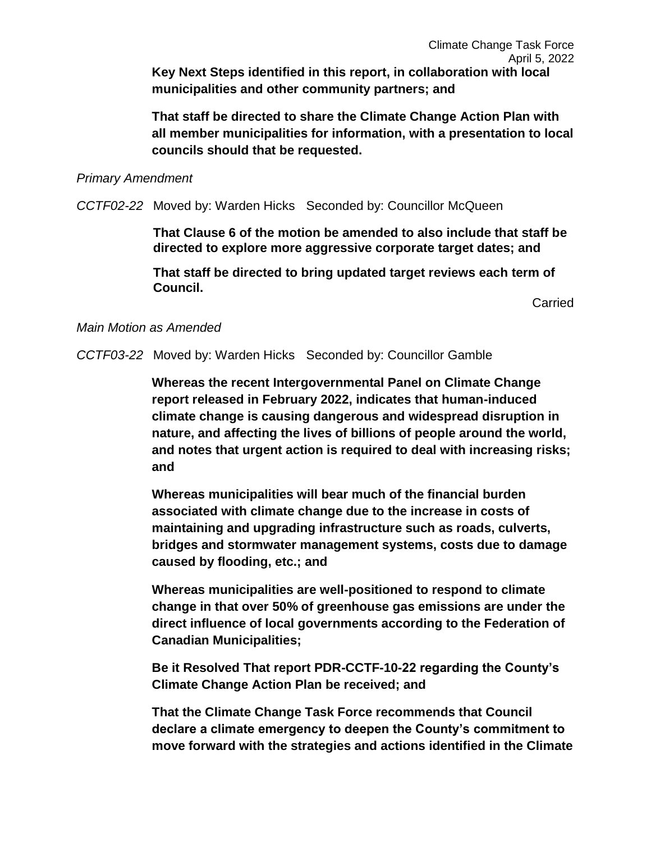**That staff be directed to share the Climate Change Action Plan with all member municipalities for information, with a presentation to local councils should that be requested.**

#### *Primary Amendment*

*CCTF02-22* Moved by: Warden Hicks Seconded by: Councillor McQueen

**That Clause 6 of the motion be amended to also include that staff be directed to explore more aggressive corporate target dates; and** 

**That staff be directed to bring updated target reviews each term of Council.** 

**Carried** 

#### *Main Motion as Amended*

*CCTF03-22* Moved by: Warden Hicks Seconded by: Councillor Gamble

**Whereas the recent Intergovernmental Panel on Climate Change report released in February 2022, indicates that human-induced climate change is causing dangerous and widespread disruption in nature, and affecting the lives of billions of people around the world, and notes that urgent action is required to deal with increasing risks; and**

**Whereas municipalities will bear much of the financial burden associated with climate change due to the increase in costs of maintaining and upgrading infrastructure such as roads, culverts, bridges and stormwater management systems, costs due to damage caused by flooding, etc.; and**

**Whereas municipalities are well-positioned to respond to climate change in that over 50% of greenhouse gas emissions are under the direct influence of local governments according to the Federation of Canadian Municipalities;** 

**Be it Resolved That report PDR-CCTF-10-22 regarding the County's Climate Change Action Plan be received; and**

**That the Climate Change Task Force recommends that Council declare a climate emergency to deepen the County's commitment to move forward with the strategies and actions identified in the Climate**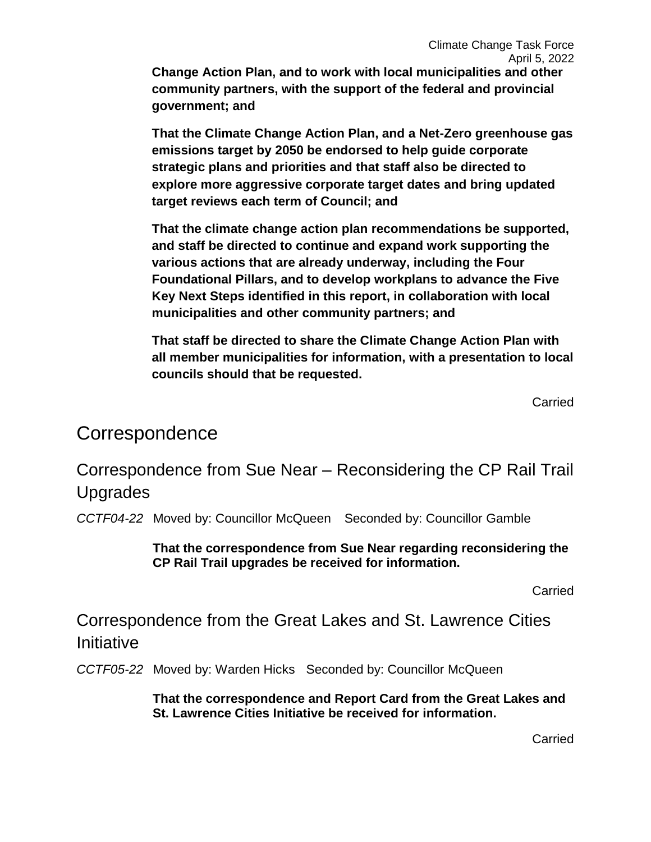**Change Action Plan, and to work with local municipalities and other community partners, with the support of the federal and provincial government; and** 

**That the Climate Change Action Plan, and a Net-Zero greenhouse gas emissions target by 2050 be endorsed to help guide corporate strategic plans and priorities and that staff also be directed to explore more aggressive corporate target dates and bring updated target reviews each term of Council; and** 

**That the climate change action plan recommendations be supported, and staff be directed to continue and expand work supporting the various actions that are already underway, including the Four Foundational Pillars, and to develop workplans to advance the Five Key Next Steps identified in this report, in collaboration with local municipalities and other community partners; and**

**That staff be directed to share the Climate Change Action Plan with all member municipalities for information, with a presentation to local councils should that be requested.**

**Carried** 

### Correspondence

Correspondence from Sue Near – Reconsidering the CP Rail Trail Upgrades

*CCTF04-22* Moved by: Councillor McQueen Seconded by: Councillor Gamble

**That the correspondence from Sue Near regarding reconsidering the CP Rail Trail upgrades be received for information.** 

Carried

Correspondence from the Great Lakes and St. Lawrence Cities **Initiative** 

*CCTF05-22* Moved by: Warden Hicks Seconded by: Councillor McQueen

**That the correspondence and Report Card from the Great Lakes and St. Lawrence Cities Initiative be received for information.** 

Carried